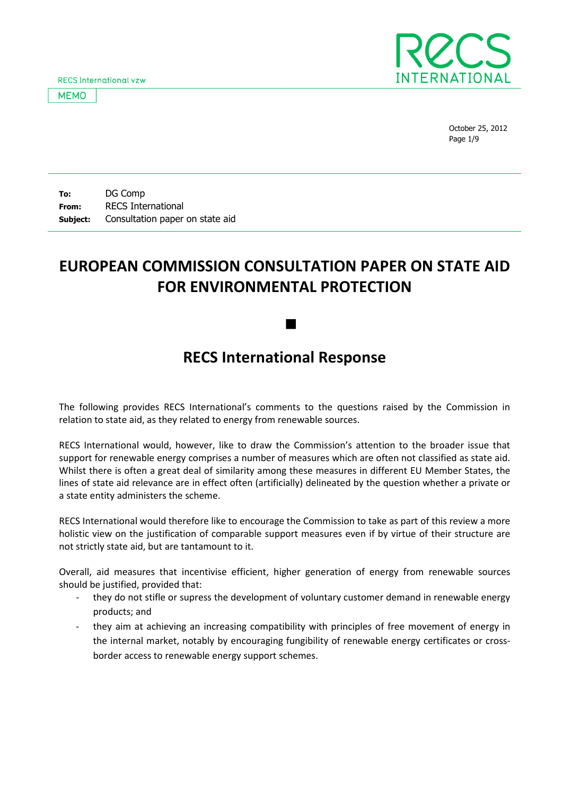**RECS International vzw** 

**MEMO** 



October 25, 2012 Page 1/9

To: From: Subject: DG Comp RECS International Consultation paper on state aid

# EUROPEAN COMMISSION CONSULTATION PAPER ON STATE AID FOR ENVIRONMENTAL PROTECTION

# RECS International Response

 $\blacksquare$ 

The following provides RECS International's comments to the questions raised by the Commission in relation to state aid, as they related to energy from renewable sources.

RECS International would, however, like to draw the Commission's attention to the broader issue that support for renewable energy comprises a number of measures which are often not classified as state aid. Whilst there is often a great deal of similarity among these measures in different EU Member States, the lines of state aid relevance are in effect often (artificially) delineated by the question whether a private or a state entity administers the scheme.

RECS International would therefore like to encourage the Commission to take as part of this review a more holistic view on the justification of comparable support measures even if by virtue of their structure are not strictly state aid, but are tantamount to it.

Overall, aid measures that incentivise efficient, higher generation of energy from renewable sources should be justified, provided that:

- they do not stifle or supress the development of voluntary customer demand in renewable energy products; and
- they aim at achieving an increasing compatibility with principles of free movement of energy in the internal market, notably by encouraging fungibility of renewable energy certificates or crossborder access to renewable energy support schemes.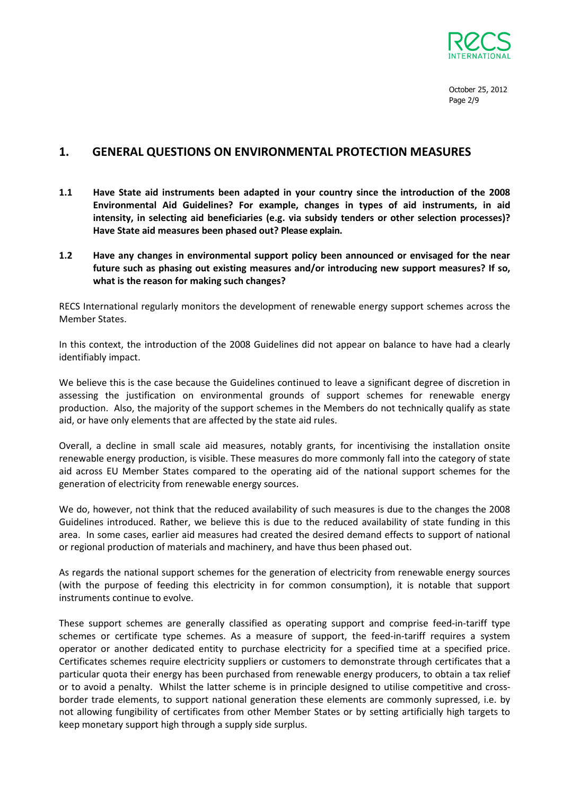

October 25, 2012 Page 2/9

## 1. GENERAL QUESTIONS ON ENVIRONMENTAL PROTECTION MEASURES

- 1.1 Have State aid instruments been adapted in your country since the introduction of the 2008 Environmental Aid Guidelines? For example, changes in types of aid instruments, in aid intensity, in selecting aid beneficiaries (e.g. via subsidy tenders or other selection processes)? Have State aid measures been phased out? Please explain.
- 1.2 Have any changes in environmental support policy been announced or envisaged for the near future such as phasing out existing measures and/or introducing new support measures? If so, what is the reason for making such changes?

RECS International regularly monitors the development of renewable energy support schemes across the Member States.

In this context, the introduction of the 2008 Guidelines did not appear on balance to have had a clearly identifiably impact.

We believe this is the case because the Guidelines continued to leave a significant degree of discretion in assessing the justification on environmental grounds of support schemes for renewable energy production. Also, the majority of the support schemes in the Members do not technically qualify as state aid, or have only elements that are affected by the state aid rules.

Overall, a decline in small scale aid measures, notably grants, for incentivising the installation onsite renewable energy production, is visible. These measures do more commonly fall into the category of state aid across EU Member States compared to the operating aid of the national support schemes for the generation of electricity from renewable energy sources.

We do, however, not think that the reduced availability of such measures is due to the changes the 2008 Guidelines introduced. Rather, we believe this is due to the reduced availability of state funding in this area. In some cases, earlier aid measures had created the desired demand effects to support of national or regional production of materials and machinery, and have thus been phased out.

As regards the national support schemes for the generation of electricity from renewable energy sources (with the purpose of feeding this electricity in for common consumption), it is notable that support instruments continue to evolve.

These support schemes are generally classified as operating support and comprise feed-in-tariff type schemes or certificate type schemes. As a measure of support, the feed-in-tariff requires a system operator or another dedicated entity to purchase electricity for a specified time at a specified price. Certificates schemes require electricity suppliers or customers to demonstrate through certificates that a particular quota their energy has been purchased from renewable energy producers, to obtain a tax relief or to avoid a penalty. Whilst the latter scheme is in principle designed to utilise competitive and crossborder trade elements, to support national generation these elements are commonly supressed, i.e. by not allowing fungibility of certificates from other Member States or by setting artificially high targets to keep monetary support high through a supply side surplus.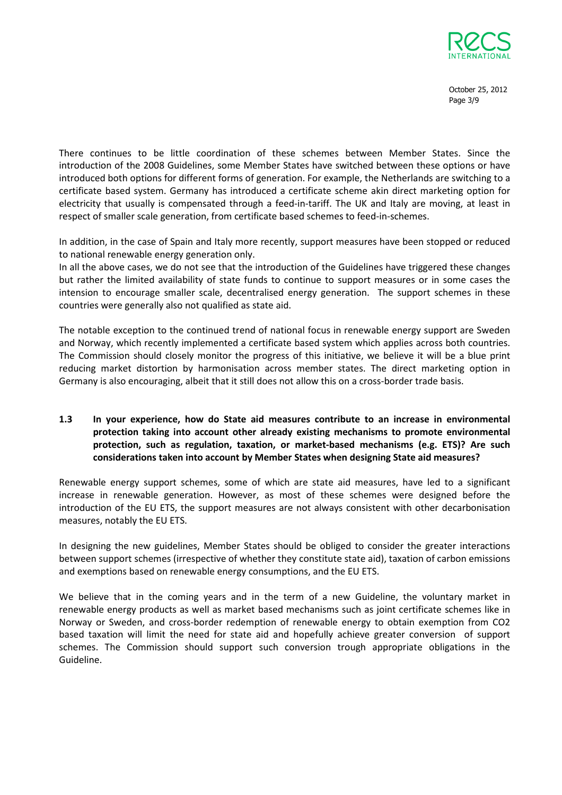

October 25, 2012 Page 3/9

There continues to be little coordination of these schemes between Member States. Since the introduction of the 2008 Guidelines, some Member States have switched between these options or have introduced both options for different forms of generation. For example, the Netherlands are switching to a certificate based system. Germany has introduced a certificate scheme akin direct marketing option for electricity that usually is compensated through a feed-in-tariff. The UK and Italy are moving, at least in respect of smaller scale generation, from certificate based schemes to feed-in-schemes.

In addition, in the case of Spain and Italy more recently, support measures have been stopped or reduced to national renewable energy generation only.

In all the above cases, we do not see that the introduction of the Guidelines have triggered these changes but rather the limited availability of state funds to continue to support measures or in some cases the intension to encourage smaller scale, decentralised energy generation. The support schemes in these countries were generally also not qualified as state aid.

The notable exception to the continued trend of national focus in renewable energy support are Sweden and Norway, which recently implemented a certificate based system which applies across both countries. The Commission should closely monitor the progress of this initiative, we believe it will be a blue print reducing market distortion by harmonisation across member states. The direct marketing option in Germany is also encouraging, albeit that it still does not allow this on a cross-border trade basis.

### 1.3 In your experience, how do State aid measures contribute to an increase in environmental protection taking into account other already existing mechanisms to promote environmental protection, such as regulation, taxation, or market-based mechanisms (e.g. ETS)? Are such considerations taken into account by Member States when designing State aid measures?

Renewable energy support schemes, some of which are state aid measures, have led to a significant increase in renewable generation. However, as most of these schemes were designed before the introduction of the EU ETS, the support measures are not always consistent with other decarbonisation measures, notably the EU ETS.

In designing the new guidelines, Member States should be obliged to consider the greater interactions between support schemes (irrespective of whether they constitute state aid), taxation of carbon emissions and exemptions based on renewable energy consumptions, and the EU ETS.

We believe that in the coming years and in the term of a new Guideline, the voluntary market in renewable energy products as well as market based mechanisms such as joint certificate schemes like in Norway or Sweden, and cross-border redemption of renewable energy to obtain exemption from CO2 based taxation will limit the need for state aid and hopefully achieve greater conversion of support schemes. The Commission should support such conversion trough appropriate obligations in the Guideline.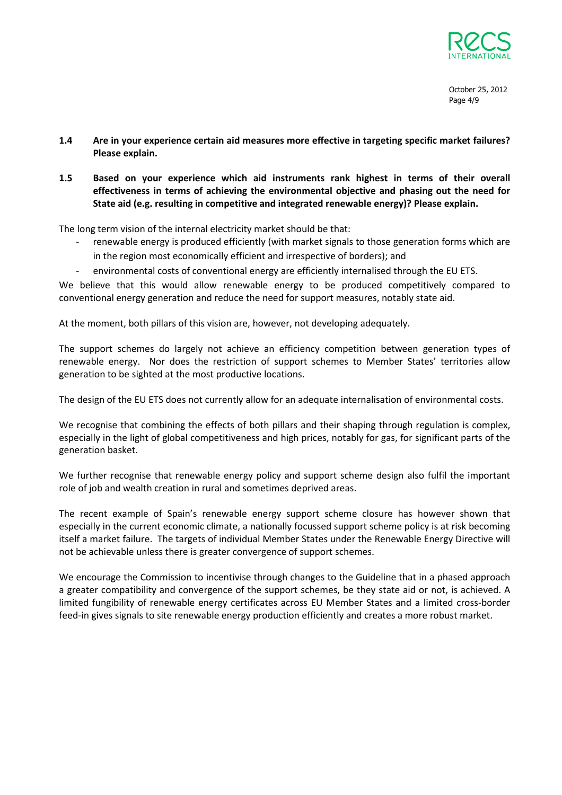

- 1.4 Are in your experience certain aid measures more effective in targeting specific market failures? Please explain.
- 1.5 Based on your experience which aid instruments rank highest in terms of their overall effectiveness in terms of achieving the environmental objective and phasing out the need for State aid (e.g. resulting in competitive and integrated renewable energy)? Please explain.

The long term vision of the internal electricity market should be that:

- renewable energy is produced efficiently (with market signals to those generation forms which are in the region most economically efficient and irrespective of borders); and
- environmental costs of conventional energy are efficiently internalised through the EU ETS.

We believe that this would allow renewable energy to be produced competitively compared to conventional energy generation and reduce the need for support measures, notably state aid.

At the moment, both pillars of this vision are, however, not developing adequately.

The support schemes do largely not achieve an efficiency competition between generation types of renewable energy. Nor does the restriction of support schemes to Member States' territories allow generation to be sighted at the most productive locations.

The design of the EU ETS does not currently allow for an adequate internalisation of environmental costs.

We recognise that combining the effects of both pillars and their shaping through regulation is complex, especially in the light of global competitiveness and high prices, notably for gas, for significant parts of the generation basket.

We further recognise that renewable energy policy and support scheme design also fulfil the important role of job and wealth creation in rural and sometimes deprived areas.

The recent example of Spain's renewable energy support scheme closure has however shown that especially in the current economic climate, a nationally focussed support scheme policy is at risk becoming itself a market failure. The targets of individual Member States under the Renewable Energy Directive will not be achievable unless there is greater convergence of support schemes.

We encourage the Commission to incentivise through changes to the Guideline that in a phased approach a greater compatibility and convergence of the support schemes, be they state aid or not, is achieved. A limited fungibility of renewable energy certificates across EU Member States and a limited cross-border feed-in gives signals to site renewable energy production efficiently and creates a more robust market.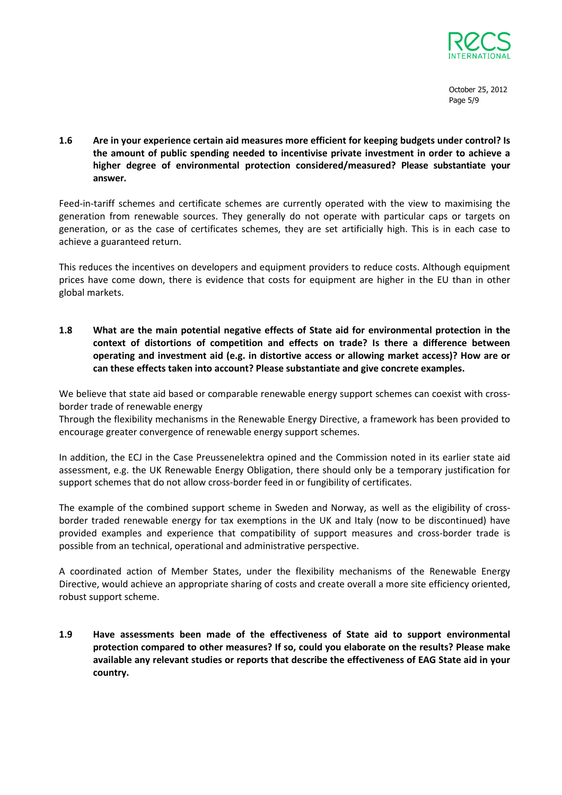

October 25, 2012 Page 5/9

1.6 Are in your experience certain aid measures more efficient for keeping budgets under control? Is the amount of public spending needed to incentivise private investment in order to achieve a higher degree of environmental protection considered/measured? Please substantiate your answer.

Feed-in-tariff schemes and certificate schemes are currently operated with the view to maximising the generation from renewable sources. They generally do not operate with particular caps or targets on generation, or as the case of certificates schemes, they are set artificially high. This is in each case to achieve a guaranteed return.

This reduces the incentives on developers and equipment providers to reduce costs. Although equipment prices have come down, there is evidence that costs for equipment are higher in the EU than in other global markets.

1.8 What are the main potential negative effects of State aid for environmental protection in the context of distortions of competition and effects on trade? Is there a difference between operating and investment aid (e.g. in distortive access or allowing market access)? How are or can these effects taken into account? Please substantiate and give concrete examples.

We believe that state aid based or comparable renewable energy support schemes can coexist with crossborder trade of renewable energy

Through the flexibility mechanisms in the Renewable Energy Directive, a framework has been provided to encourage greater convergence of renewable energy support schemes.

In addition, the ECJ in the Case Preussenelektra opined and the Commission noted in its earlier state aid assessment, e.g. the UK Renewable Energy Obligation, there should only be a temporary justification for support schemes that do not allow cross-border feed in or fungibility of certificates.

The example of the combined support scheme in Sweden and Norway, as well as the eligibility of crossborder traded renewable energy for tax exemptions in the UK and Italy (now to be discontinued) have provided examples and experience that compatibility of support measures and cross-border trade is possible from an technical, operational and administrative perspective.

A coordinated action of Member States, under the flexibility mechanisms of the Renewable Energy Directive, would achieve an appropriate sharing of costs and create overall a more site efficiency oriented, robust support scheme.

1.9 Have assessments been made of the effectiveness of State aid to support environmental protection compared to other measures? If so, could you elaborate on the results? Please make available any relevant studies or reports that describe the effectiveness of EAG State aid in your country.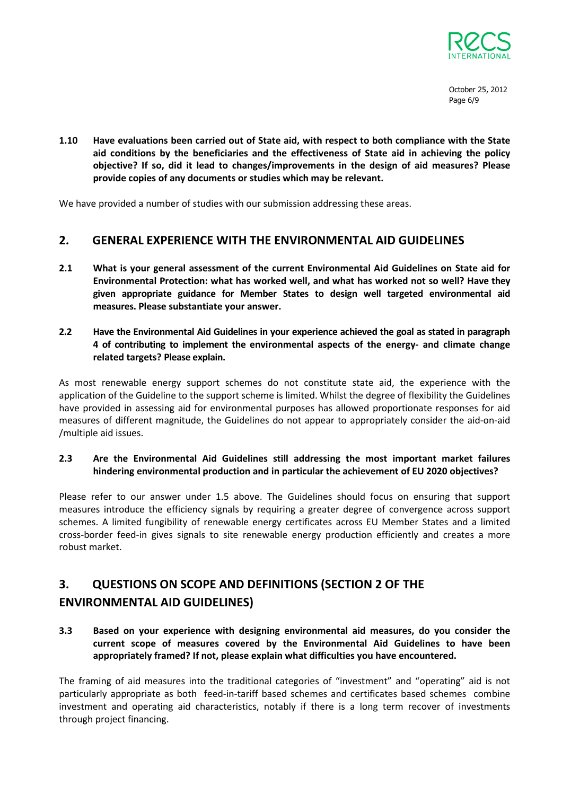

October 25, 2012 Page 6/9

1.10 Have evaluations been carried out of State aid, with respect to both compliance with the State aid conditions by the beneficiaries and the effectiveness of State aid in achieving the policy objective? If so, did it lead to changes/improvements in the design of aid measures? Please provide copies of any documents or studies which may be relevant.

We have provided a number of studies with our submission addressing these areas.

### 2. GENERAL EXPERIENCE WITH THE ENVIRONMENTAL AID GUIDELINES

- 2.1 What is your general assessment of the current Environmental Aid Guidelines on State aid for Environmental Protection: what has worked well, and what has worked not so well? Have they given appropriate guidance for Member States to design well targeted environmental aid measures. Please substantiate your answer.
- 2.2 Have the Environmental Aid Guidelines in your experience achieved the goal as stated in paragraph 4 of contributing to implement the environmental aspects of the energy- and climate change related targets? Please explain.

As most renewable energy support schemes do not constitute state aid, the experience with the application of the Guideline to the support scheme is limited. Whilst the degree of flexibility the Guidelines have provided in assessing aid for environmental purposes has allowed proportionate responses for aid measures of different magnitude, the Guidelines do not appear to appropriately consider the aid-on-aid /multiple aid issues.

#### 2.3 Are the Environmental Aid Guidelines still addressing the most important market failures hindering environmental production and in particular the achievement of EU 2020 objectives?

Please refer to our answer under 1.5 above. The Guidelines should focus on ensuring that support measures introduce the efficiency signals by requiring a greater degree of convergence across support schemes. A limited fungibility of renewable energy certificates across EU Member States and a limited cross-border feed-in gives signals to site renewable energy production efficiently and creates a more robust market.

## 3. QUESTIONS ON SCOPE AND DEFINITIONS (SECTION 2 OF THE ENVIRONMENTAL AID GUIDELINES)

3.3 Based on your experience with designing environmental aid measures, do you consider the current scope of measures covered by the Environmental Aid Guidelines to have been appropriately framed? If not, please explain what difficulties you have encountered.

The framing of aid measures into the traditional categories of "investment" and "operating" aid is not particularly appropriate as both feed-in-tariff based schemes and certificates based schemes combine investment and operating aid characteristics, notably if there is a long term recover of investments through project financing.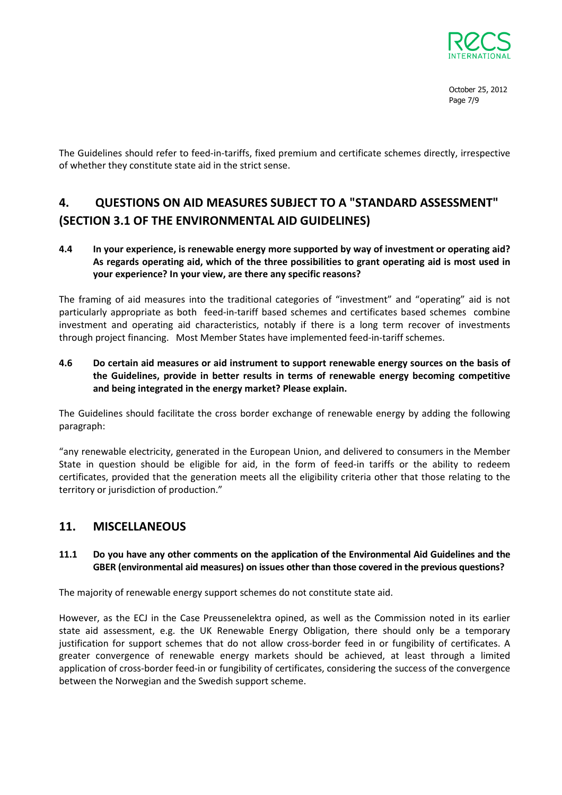

October 25, 2012 Page 7/9

The Guidelines should refer to feed-in-tariffs, fixed premium and certificate schemes directly, irrespective of whether they constitute state aid in the strict sense.

# 4. QUESTIONS ON AID MEASURES SUBJECT TO A "STANDARD ASSESSMENT" (SECTION 3.1 OF THE ENVIRONMENTAL AID GUIDELINES)

### 4.4 In your experience, is renewable energy more supported by way of investment or operating aid? As regards operating aid, which of the three possibilities to grant operating aid is most used in your experience? In your view, are there any specific reasons?

The framing of aid measures into the traditional categories of "investment" and "operating" aid is not particularly appropriate as both feed-in-tariff based schemes and certificates based schemes combine investment and operating aid characteristics, notably if there is a long term recover of investments through project financing. Most Member States have implemented feed-in-tariff schemes.

4.6 Do certain aid measures or aid instrument to support renewable energy sources on the basis of the Guidelines, provide in better results in terms of renewable energy becoming competitive and being integrated in the energy market? Please explain.

The Guidelines should facilitate the cross border exchange of renewable energy by adding the following paragraph:

"any renewable electricity, generated in the European Union, and delivered to consumers in the Member State in question should be eligible for aid, in the form of feed-in tariffs or the ability to redeem certificates, provided that the generation meets all the eligibility criteria other that those relating to the territory or jurisdiction of production."

### 11. MISCELLANEOUS

#### 11.1 Do you have any other comments on the application of the Environmental Aid Guidelines and the GBER (environmental aid measures) on issues other than those covered in the previous questions?

The majority of renewable energy support schemes do not constitute state aid.

However, as the ECJ in the Case Preussenelektra opined, as well as the Commission noted in its earlier state aid assessment, e.g. the UK Renewable Energy Obligation, there should only be a temporary justification for support schemes that do not allow cross-border feed in or fungibility of certificates. A greater convergence of renewable energy markets should be achieved, at least through a limited application of cross-border feed-in or fungibility of certificates, considering the success of the convergence between the Norwegian and the Swedish support scheme.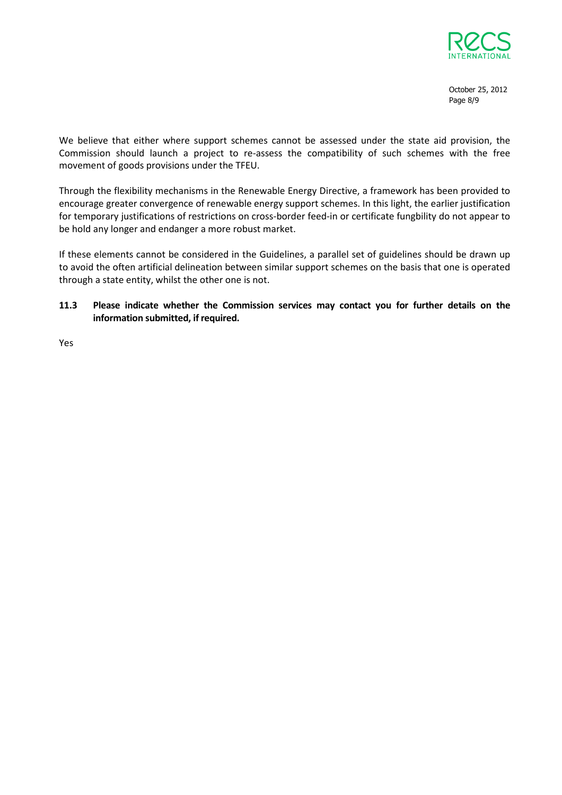

October 25, 2012 Page 8/9

We believe that either where support schemes cannot be assessed under the state aid provision, the Commission should launch a project to re-assess the compatibility of such schemes with the free movement of goods provisions under the TFEU.

Through the flexibility mechanisms in the Renewable Energy Directive, a framework has been provided to encourage greater convergence of renewable energy support schemes. In this light, the earlier justification for temporary justifications of restrictions on cross-border feed-in or certificate fungbility do not appear to be hold any longer and endanger a more robust market.

If these elements cannot be considered in the Guidelines, a parallel set of guidelines should be drawn up to avoid the often artificial delineation between similar support schemes on the basis that one is operated through a state entity, whilst the other one is not.

### 11.3 Please indicate whether the Commission services may contact you for further details on the information submitted, if required.

Yes